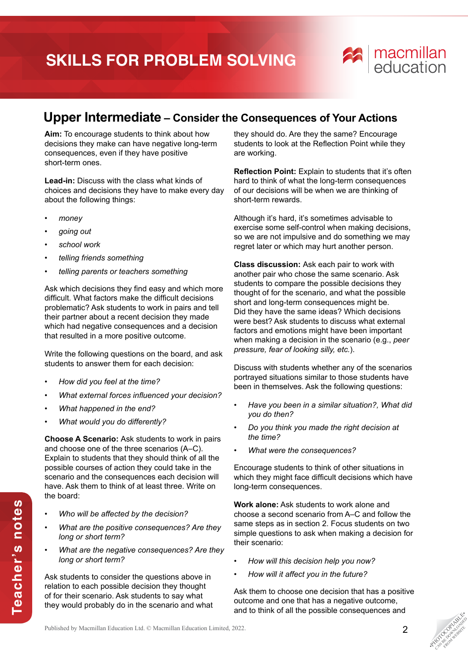## **SKILLS FOR PROBLEM SOLVING**



## **Upper Intermediate – Consider the Consequences of Your Actions**

**Aim:** To encourage students to think about how decisions they make can have negative long-term consequences, even if they have positive short-term ones.

**Lead-in:** Discuss with the class what kinds of choices and decisions they have to make every day about the following things:

- *money*
- *going out*
- *school work*
- *telling friends something*
- *telling parents or teachers something*

Ask which decisions they find easy and which more difficult. What factors make the difficult decisions problematic? Ask students to work in pairs and tell their partner about a recent decision they made which had negative consequences and a decision that resulted in a more positive outcome.

Write the following questions on the board, and ask students to answer them for each decision:

- *How did you feel at the time?*
- *What external forces influenced your decision?*
- *What happened in the end?*
- *What would you do differently?*

**Choose A Scenario:** Ask students to work in pairs and choose one of the three scenarios (A–C). Explain to students that they should think of all the possible courses of action they could take in the scenario and the consequences each decision will have. Ask them to think of at least three. Write on the board:

- *Who will be affected by the decision?*
- *What are the positive consequences? Are they long or short term?*
- *What are the negative consequences? Are they long or short term?*

Ask students to consider the questions above in relation to each possible decision they thought of for their scenario. Ask students to say what they would probably do in the scenario and what they should do. Are they the same? Encourage students to look at the Reflection Point while they are working.

**Reflection Point:** Explain to students that it's often hard to think of what the long-term consequences of our decisions will be when we are thinking of short-term rewards.

Although it's hard, it's sometimes advisable to exercise some self-control when making decisions, so we are not impulsive and do something we may regret later or which may hurt another person.

**Class discussion:** Ask each pair to work with another pair who chose the same scenario. Ask students to compare the possible decisions they thought of for the scenario, and what the possible short and long-term consequences might be. Did they have the same ideas? Which decisions were best? Ask students to discuss what external factors and emotions might have been important when making a decision in the scenario (e.g., *peer pressure, fear of looking silly, etc.*).

Discuss with students whether any of the scenarios portrayed situations similar to those students have been in themselves. Ask the following questions:

- *Have you been in a similar situation?, What did you do then?*
- *Do you think you made the right decision at the time?*
- *What were the consequences?*

Encourage students to think of other situations in which they might face difficult decisions which have long-term consequences.

**Work alone:** Ask students to work alone and choose a second scenario from A–C and follow the same steps as in section 2. Focus students on two simple questions to ask when making a decision for their scenario:

- *How will this decision help you now?*
- *How will it affect you in the future?*

Ask them to choose one decision that has a positive outcome and one that has a negative outcome, and to think of all the possible consequences and

**PHOTOGRAPHICATE** CAN BE DOWNLOAD FROM WEBSITE